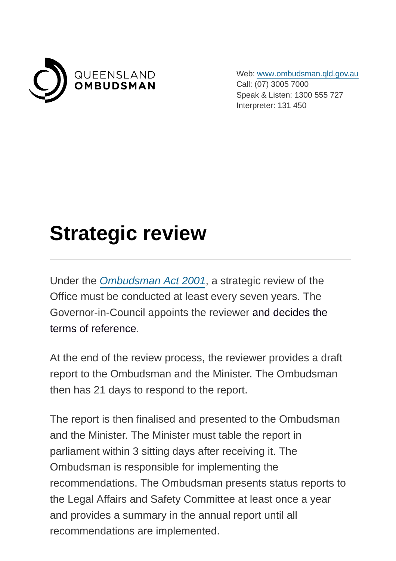

Web: [www.ombudsman.qld.gov.au](https://www.ombudsman.qld.gov.au/) Call: (07) 3005 7000 Speak & Listen: 1300 555 727 Interpreter: 131 450

## **Strategic review**

Under the [Ombudsman Act 2001](https://www.ombudsman.qld.gov.au/what-we-do/role-of-the-ombudsman/legislation-and-standard), a strategic review of the Office must be conducted at least every seven years. The Governor-in-Council appoints the reviewer and decides the terms of reference.

At the end of the review process, the reviewer provides a draft report to the Ombudsman and the Minister. The Ombudsman then has 21 days to respond to the report.

The report is then finalised and presented to the Ombudsman and the Minister. The Minister must table the report in parliament within 3 sitting days after receiving it. The Ombudsman is responsible for implementing the recommendations. The Ombudsman presents status reports to the Legal Affairs and Safety Committee at least once a year and provides a summary in the annual report until all recommendations are implemented.